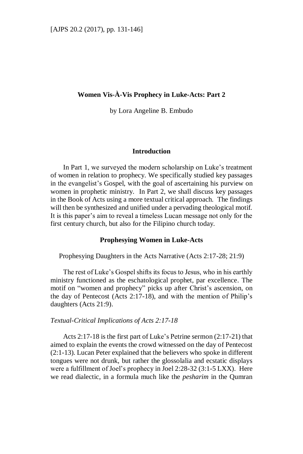# **Women Vis-À-Vis Prophecy in Luke-Acts: Part 2**

by Lora Angeline B. Embudo

#### **Introduction**

In Part 1, we surveyed the modern scholarship on Luke's treatment of women in relation to prophecy. We specifically studied key passages in the evangelist's Gospel, with the goal of ascertaining his purview on women in prophetic ministry. In Part 2, we shall discuss key passages in the Book of Acts using a more textual critical approach. The findings will then be synthesized and unified under a pervading theological motif. It is this paper's aim to reveal a timeless Lucan message not only for the first century church, but also for the Filipino church today.

#### **Prophesying Women in Luke-Acts**

Prophesying Daughters in the Acts Narrative (Acts 2:17-28; 21:9)

The rest of Luke's Gospel shifts its focus to Jesus, who in his earthly ministry functioned as the eschatological prophet, par excellence. The motif on "women and prophecy" picks up after Christ's ascension, on the day of Pentecost (Acts 2:17-18), and with the mention of Philip's daughters (Acts 21:9).

### *Textual-Critical Implications of Acts 2:17-18*

Acts 2:17-18 is the first part of Luke's Petrine sermon (2:17-21) that aimed to explain the events the crowd witnessed on the day of Pentecost (2:1-13). Lucan Peter explained that the believers who spoke in different tongues were not drunk, but rather the glossolalia and ecstatic displays were a fulfillment of Joel's prophecy in Joel 2:28-32 (3:1-5 LXX). Here we read dialectic, in a formula much like the *pesharim* in the Qumran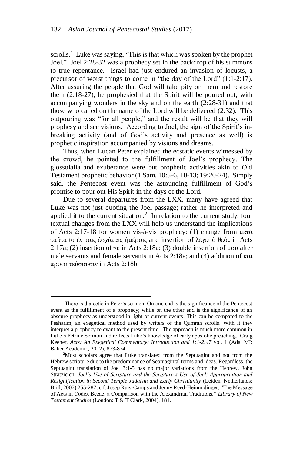scrolls.<sup>1</sup> Luke was saying, "This is that which was spoken by the prophet Joel." Joel 2:28-32 was a prophecy set in the backdrop of his summons to true repentance. Israel had just endured an invasion of locusts, a precursor of worst things to come in "the day of the Lord" (1:1-2:17). After assuring the people that God will take pity on them and restore them (2:18-27), he prophesied that the Spirit will be poured out, with accompanying wonders in the sky and on the earth (2:28-31) and that those who called on the name of the Lord will be delivered (2:32). This outpouring was "for all people," and the result will be that they will prophesy and see visions. According to Joel, the sign of the Spirit's inbreaking activity (and of God's activity and presence as well) is prophetic inspiration accompanied by visions and dreams.

Thus, when Lucan Peter explained the ecstatic events witnessed by the crowd, he pointed to the fulfillment of Joel's prophecy. The glossolalia and exuberance were but prophetic activities akin to Old Testament prophetic behavior (1 Sam. 10:5-6, 10-13; 19:20-24). Simply said, the Pentecost event was the astounding fulfillment of God's promise to pour out His Spirit in the days of the Lord.

Due to several departures from the LXX, many have agreed that Luke was not just quoting the Joel passage; rather he interpreted and applied it to the current situation.<sup>2</sup> In relation to the current study, four textual changes from the LXX will help us understand the implications of Acts 2:17-18 for women vis-à-vis prophecy: (1) change from μετά ταῦτα to ὲν ταις ὲσχάταις ἡμέραις and insertion of λέγει ὁ θεός in Acts 2:17a; (2) insertion of γε in Acts 2:18a; (3) double insertion of μου after male servants and female servants in Acts 2:18a; and (4) addition of και προφητεύσουσιν in Acts 2:18b.

<sup>&</sup>lt;sup>1</sup>There is dialectic in Peter's sermon. On one end is the significance of the Pentecost event as the fulfillment of a prophecy; while on the other end is the significance of an obscure prophecy as understood in light of current events. This can be compared to the Pesharim, an exegetical method used by writers of the Qumran scrolls. With it they interpret a prophecy relevant to the present time. The approach is much more common in Luke's Petrine Sermon and reflects Luke's knowledge of early apostolic preaching. Craig Keener, *Acts: An Exegetical Commentary: Introduction and 1:1-2:47* vol. 1 (Ada, MI: Baker Academic, 2012), 873-874.

<sup>2</sup>Most scholars agree that Luke translated from the Septuagint and not from the Hebrew scripture due to the predominance of Septuagintal terms and ideas. Regardless, the Septuagint translation of Joel 3:1-5 has no major variations from the Hebrew. John Stratzicich, *Joel's Use of Scripture and the Scripture's Use of Joel: Appropriation and Resignification in Second Temple Judaism and Early Christianity* (Leiden, Netherlands: Brill, 2007) 255-287; c.f. Josep Ruis-Camps and Jenny Reed-Heinundinger, "The Message of Acts in Codex Bezae: a Comparison with the Alexandrian Traditions," *Library of New Testament Studies* (London: T & T Clark, 2004), 181.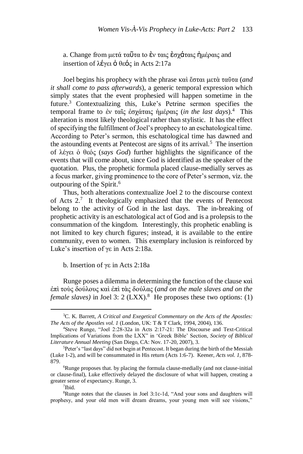a. Change from μετά ταῦτα to ὲν ταις ἐσχάταις ἡμέραις and insertion of λέγει ὁ θεός in Acts 2:17a

Joel begins his prophecy with the phrase καὶ ἔσται μετὰ ταῦτα (*and it shall come to pass afterwards*), a generic temporal expression which simply states that the event prophesied will happen sometime in the future.<sup>3</sup> Contextualizing this, Luke's Petrine sermon specifies the temporal frame to ἐν ταῖς ἐσχάταις ἡμέραις (*in the last days*).<sup>4</sup> This alteration is most likely theological rather than stylistic. It has the effect of specifying the fulfillment of Joel's prophecy to an eschatological time. According to Peter's sermon, this eschatological time has dawned and the astounding events at Pentecost are signs of its arrival.<sup>5</sup> The insertion of λέγει ὁ θεός (*says God*) further highlights the significance of the events that will come about, since God is identified as the speaker of the quotation. Plus, the prophetic formula placed clause-medially serves as a focus marker, giving prominence to the core of Peter's sermon, viz. the outpouring of the Spirit.<sup>6</sup>

Thus, both alterations contextualize Joel 2 to the discourse context of Acts  $2.7$  It theologically emphasized that the events of Pentecost belong to the activity of God in the last days. The in-breaking of prophetic activity is an eschatological act of God and is a prolepsis to the consummation of the kingdom. Interestingly, this prophetic enabling is not limited to key church figures; instead, it is available to the entire community, even to women. This exemplary inclusion is reinforced by Luke's insertion of γε in Acts 2:18a.

b. Insertion of γε in Acts 2:18a

Runge poses a dilemma in determining the function of the clause καὶ ἐπὶ τοὺς δούλους καὶ ἐπὶ τὰς δούλας (*and on the male slaves and on the female slaves*) in Joel 3: 2 (LXX).<sup>8</sup> He proposes these two options: (1)

<sup>3</sup>C. K. Barrett, *A Critical and Exegetical Commentary on the Acts of the Apostles: The Acts of the Apostles vol. 1* (London, UK: T & T Clark, 1994, 2004), 136.

<sup>4</sup>Steve Runge, "Joel 2:28-32a in Acts 2:17-21: The Discourse and Text-Critical Implications of Variations from the LXX" in 'Greek Bible' Section, *Society of Biblical Literature Annual Meeting* (San Diego, CA: Nov. 17-20, 2007), 3.

<sup>5</sup>Peter's "last days" did not begin at Pentecost. It began during the birth of the Messiah (Luke 1-2), and will be consummated in His return (Acts 1:6-7). Keener, *Acts vol. 1,* 878- 879.

<sup>&</sup>lt;sup>6</sup>Runge proposes that. by placing the formula clause-medially (and not clause-initial or clause-final), Luke effectively delayed the disclosure of what will happen, creating a greater sense of expectancy. Runge, 3.

<sup>7</sup> Ibid.

<sup>8</sup>Runge notes that the clauses in Joel 3:1c-1d, "And your sons and daughters will prophesy, and your old men will dream dreams, your young men will see visions,"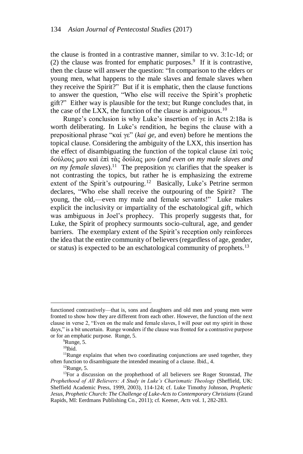the clause is fronted in a contrastive manner, similar to vv. 3:1c-1d; or  $(2)$  the clause was fronted for emphatic purposes.<sup>9</sup> If it is contrastive, then the clause will answer the question: "In comparison to the elders or young men, what happens to the male slaves and female slaves when they receive the Spirit?" But if it is emphatic, then the clause functions to answer the question, "Who else will receive the Spirit's prophetic gift?" Either way is plausible for the text; but Runge concludes that, in the case of the LXX, the function of the clause is ambiguous.<sup>10</sup>

Runge's conclusion is why Luke's insertion of γε in Acts 2:18a is worth deliberating. In Luke's rendition, he begins the clause with a prepositional phrase "καί γε" (*kai ge,* and even) before he mentions the topical clause. Considering the ambiguity of the LXX, this insertion has the effect of disambiguating the function of the topical clause  $\dot{\epsilon}\pi\dot{\tau}$  τους δούλους μου καὶ ἐπὶ τὰς δούλας μου (*and even on my male slaves and on my female slaves*).<sup>11</sup> The preposition γε clarifies that the speaker is not contrasting the topics, but rather he is emphasizing the extreme extent of the Spirit's outpouring.<sup>12</sup> Basically, Luke's Petrine sermon declares, "Who else shall receive the outpouring of the Spirit? The young, the old,—even my male and female servants!" Luke makes explicit the inclusivity or impartiality of the eschatological gift, which was ambiguous in Joel's prophecy. This properly suggests that, for Luke, the Spirit of prophecy surmounts socio-cultural, age, and gender barriers. The exemplary extent of the Spirit's reception only reinforces the idea that the entire community of believers (regardless of age, gender, or status) is expected to be an eschatological community of prophets.<sup>13</sup>

functioned contrastively—that is, sons and daughters and old men and young men were fronted to show how they are different from each other. However, the function of the next clause in verse 2, "Even on the male and female slaves, I will pour out my spirit in those days," is a bit uncertain. Runge wonders if the clause was fronted for a contrastive purpose or for an emphatic purpose. Runge, 5.

<sup>&</sup>lt;sup>9</sup>Runge, 5.

 $10$ Ibid.

<sup>&</sup>lt;sup>11</sup>Runge explains that when two coordinating conjunctions are used together, they often function to disambiguate the intended meaning of a clause. Ibid., 4.

 $12$ Runge, 5.

<sup>13</sup>For a discussion on the prophethood of all believers see Roger Stronstad, *The Prophethood of All Believers: A Study in Luke's Charismatic Theology* (Sheffield, UK: Sheffield Academic Press, 1999, 2003)*,* 114-124; cf. Luke Timothy Johnson, *Prophetic Jesus, Prophetic Church: The Challenge of Luke-Acts to Contemporary Christians* (Grand Rapids, MI: Eerdmans Publishing Co., 2011); cf. Keener, *Acts* vol. 1, 282-283.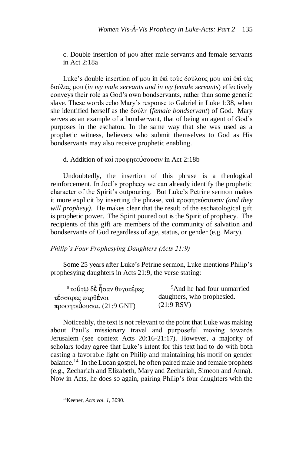c. Double insertion of μου after male servants and female servants in Act 2:18a

Luke's double insertion of μου in ἐπὶ τοὺς δούλους μου καὶ ἐπὶ τὰς δούλας μου (*in my male servants and in my female servants*) effectively conveys their role as God's own bondservants, rather than some generic slave. These words echo Mary's response to Gabriel in Luke 1:38, when she identified herself as the δούλη (*female bondservant*) of God. Mary serves as an example of a bondservant, that of being an agent of God's purposes in the eschaton. In the same way that she was used as a prophetic witness, believers who submit themselves to God as His bondservants may also receive prophetic enabling.

## d. Addition of καὶ προφητεύσουσιν in Act 2:18b

Undoubtedly, the insertion of this phrase is a theological reinforcement. In Joel's prophecy we can already identify the prophetic character of the Spirit's outpouring. But Luke's Petrine sermon makes it more explicit by inserting the phrase, καὶ προφητεύσουσιν *(and they will prophesy)*. He makes clear that the result of the eschatological gift is prophetic power. The Spirit poured out is the Spirit of prophecy. The recipients of this gift are members of the community of salvation and bondservants of God regardless of age, status, or gender (e.g. Mary).

## *Philip's Four Prophesying Daughters (Acts 21:9)*

Some 25 years after Luke's Petrine sermon, Luke mentions Philip's prophesying daughters in Acts 21:9, the verse stating:

| <sup>9</sup> τούτω δε ήσαν θυγατέρες | <sup>9</sup> And he had four unmarried |
|--------------------------------------|----------------------------------------|
| τέσσαρες παρθένοι                    | daughters, who prophesied.             |
| προφητεύουσαι. (21:9 GNT)            | (21:9 RSV)                             |

Noticeably, the text is not relevant to the point that Luke was making about Paul's missionary travel and purposeful moving towards Jerusalem (see context Acts 20:16-21:17). However, a majority of scholars today agree that Luke's intent for this text had to do with both casting a favorable light on Philip and maintaining his motif on gender balance.<sup>14</sup> In the Lucan gospel, he often paired male and female prophets (e.g., Zechariah and Elizabeth, Mary and Zechariah, Simeon and Anna). Now in Acts, he does so again, pairing Philip's four daughters with the

<sup>14</sup>Keener, *Acts vol. 1,* 3090.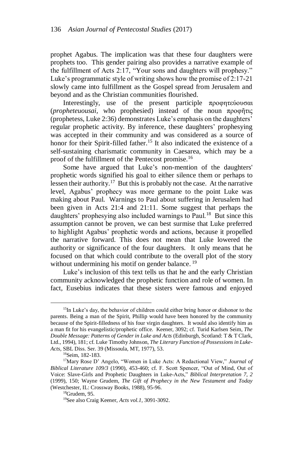prophet Agabus. The implication was that these four daughters were prophets too. This gender pairing also provides a narrative example of the fulfillment of Acts 2:17, "Your sons and daughters will prophesy." Luke's programmatic style of writing shows how the promise of 2:17-21 slowly came into fulfillment as the Gospel spread from Jerusalem and beyond and as the Christian communities flourished.

Interestingly, use of the present participle προφητεύουσαι (*propheteuousai,* who prophesied) instead of the noun προφῆτις (prophetess, Luke 2:36) demonstrates Luke's emphasis on the daughters' regular prophetic activity. By inference, these daughters' prophesying was accepted in their community and was considered as a source of honor for their Spirit-filled father.<sup>15</sup> It also indicated the existence of a self-sustaining charismatic community in Caesarea, which may be a proof of the fulfillment of the Pentecost promise.<sup>16</sup>

Some have argued that Luke's non-mention of the daughters' prophetic words signified his goal to either silence them or perhaps to lessen their authority.<sup>17</sup> But this is probably not the case. At the narrative level, Agabus' prophecy was more germane to the point Luke was making about Paul. Warnings to Paul about suffering in Jerusalem had been given in Acts 21:4 and 21:11. Some suggest that perhaps the daughters' prophesying also included warnings to Paul.<sup>18</sup> But since this assumption cannot be proven, we can best surmise that Luke preferred to highlight Agabus' prophetic words and actions, because it propelled the narrative forward. This does not mean that Luke lowered the authority or significance of the four daughters. It only means that he focused on that which could contribute to the overall plot of the story without undermining his motif on gender balance.<sup>19</sup>

Luke's inclusion of this text tells us that he and the early Christian community acknowledged the prophetic function and role of women. In fact, Eusebius indicates that these sisters were famous and enjoyed

<sup>&</sup>lt;sup>15</sup>In Luke's day, the behavior of children could either bring honor or dishonor to the parents. Being a man of the Spirit, Phillip would have been honored by the community because of the Spirit-filledness of his four virgin daughters. It would also identify him as a man fit for his evangelistic/prophetic office. Keener, 3092; cf. Turid Karlsen Seim, *The Double Message: Patterns of Gender in Luke and Acts* (Edinburgh, Scotland: T & T Clark, Ltd., 1994), 181; cf. Luke Timothy Johnson, *The Literary Function of Possessions in Luke-Acts,* SBL Diss. Ser. 39 (Missoula, MT, 1977), 53.

<sup>16</sup>Seim, 182-183.

<sup>17</sup>Mary Rose D' Angelo, "Women in Luke Acts: A Redactional View," *Journal of Biblical Literature 109/3* (1990), 453-460; cf. F. Scott Spencer, "Out of Mind, Out of Voice: Slave-Girls and Prophetic Daughters in Luke-Acts," *Biblical Interpretation 7, 2* (1999), 150; Wayne Grudem, *The Gift of Prophecy in the New Testament and Today* (Westchester, IL: Crossway Books, 1988), 95-96.

 ${}^{18}$ Grudem, 95.

<sup>19</sup>See also Craig Keener, *Acts vol.1,* 3091-3092.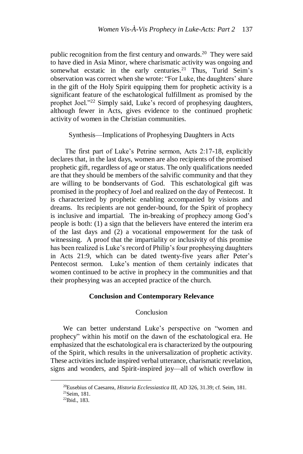public recognition from the first century and onwards.<sup>20</sup> They were said to have died in Asia Minor, where charismatic activity was ongoing and somewhat ecstatic in the early centuries.<sup>21</sup> Thus, Turid Seim's observation was correct when she wrote: "For Luke, the daughters' share in the gift of the Holy Spirit equipping them for prophetic activity is a significant feature of the eschatological fulfillment as promised by the prophet Joel."<sup>22</sup> Simply said, Luke's record of prophesying daughters, although fewer in Acts, gives evidence to the continued prophetic activity of women in the Christian communities.

Synthesis—Implications of Prophesying Daughters in Acts

The first part of Luke's Petrine sermon, Acts 2:17-18, explicitly declares that, in the last days, women are also recipients of the promised prophetic gift, regardless of age or status. The only qualifications needed are that they should be members of the salvific community and that they are willing to be bondservants of God. This eschatological gift was promised in the prophecy of Joel and realized on the day of Pentecost. It is characterized by prophetic enabling accompanied by visions and dreams. Its recipients are not gender-bound, for the Spirit of prophecy is inclusive and impartial. The in-breaking of prophecy among God's people is both: (1) a sign that the believers have entered the interim era of the last days and (2) a vocational empowerment for the task of witnessing. A proof that the impartiality or inclusivity of this promise has been realized is Luke's record of Philip's four prophesying daughters in Acts 21:9, which can be dated twenty-five years after Peter's Pentecost sermon. Luke's mention of them certainly indicates that women continued to be active in prophecy in the communities and that their prophesying was an accepted practice of the church.

## **Conclusion and Contemporary Relevance**

### Conclusion

We can better understand Luke's perspective on "women and prophecy" within his motif on the dawn of the eschatological era. He emphasized that the eschatological era is characterized by the outpouring of the Spirit, which results in the universalization of prophetic activity. These activities include inspired verbal utterance, charismatic revelation, signs and wonders, and Spirit-inspired joy—all of which overflow in

<sup>20</sup>Eusebius of Caesarea, *Historia Ecclessiastica III,* AD 326, 31.39; cf. Seim, 181.

<sup>21</sup>Seim, 181.

<sup>22</sup>Ibid., 183.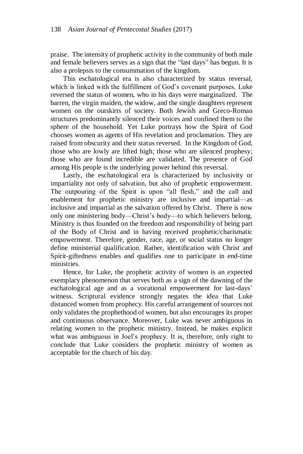praise. The intensity of prophetic activity in the community of both male and female believers serves as a sign that the "last days" has begun. It is also a prolepsis to the consummation of the kingdom.

This eschatological era is also characterized by status reversal, which is linked with the fulfillment of God's covenant purposes. Luke reversed the status of women, who in his days were marginalized. The barren, the virgin maiden, the widow, and the single daughters represent women on the outskirts of society. Both Jewish and Greco-Roman structures predominantly silenced their voices and confined them to the sphere of the household. Yet Luke portrays how the Spirit of God chooses women as agents of His revelation and proclamation. They are raised from obscurity and their status reversed. In the Kingdom of God, those who are lowly are lifted high; those who are silenced prophesy; those who are found incredible are validated. The presence of God among His people is the underlying power behind this reversal.

Lastly, the eschatological era is characterized by inclusivity or impartiality not only of salvation, but also of prophetic empowerment. The outpouring of the Spirit is upon "all flesh," and the call and enablement for prophetic ministry are inclusive and impartial—as inclusive and impartial as the salvation offered by Christ. There is now only one ministering body—Christ's body—to which believers belong. Ministry is thus founded on the freedom and responsibility of being part of the Body of Christ and in having received prophetic/charismatic empowerment. Therefore, gender, race, age, or social status no longer define ministerial qualification. Rather, identification with Christ and Spirit-giftedness enables and qualifies one to participate in end-time ministries.

Hence, for Luke, the prophetic activity of women is an expected exemplary phenomenon that serves both as a sign of the dawning of the eschatological age and as a vocational empowerment for last-days' witness. Scriptural evidence strongly negates the idea that Luke distanced women from prophecy. His careful arrangement of sources not only validates the prophethood of women, but also encourages its proper and continuous observance. Moreover, Luke was never ambiguous in relating women to the prophetic ministry. Instead, he makes explicit what was ambiguous in Joel's prophecy. It is, therefore, only right to conclude that Luke considers the prophetic ministry of women as acceptable for the church of his day.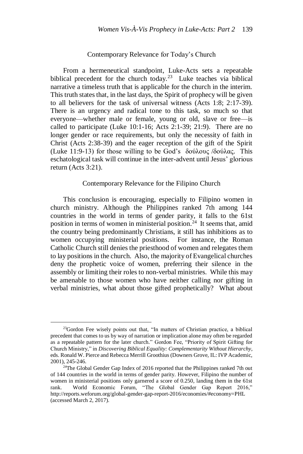### Contemporary Relevance for Today's Church

From a hermeneutical standpoint, Luke-Acts sets a repeatable biblical precedent for the church today.<sup>23</sup> Luke teaches via biblical narrative a timeless truth that is applicable for the church in the interim. This truth states that, in the last days, the Spirit of prophecy will be given to all believers for the task of universal witness (Acts 1:8; 2:17-39). There is an urgency and radical tone to this task, so much so that everyone—whether male or female, young or old, slave or free—is called to participate (Luke 10:1-16; Acts 2:1-39; 21:9). There are no longer gender or race requirements, but only the necessity of faith in Christ (Acts 2:38-39) and the eager reception of the gift of the Spirit (Luke 11:9-13) for those willing to be God's δούλους /δούλας. This eschatological task will continue in the inter-advent until Jesus' glorious return (Acts 3:21).

### Contemporary Relevance for the Filipino Church

This conclusion is encouraging, especially to Filipino women in church ministry. Although the Philippines ranked 7th among 144 countries in the world in terms of gender parity, it falls to the 61st position in terms of women in ministerial position. <sup>24</sup> It seems that, amid the country being predominantly Christians, it still has inhibitions as to women occupying ministerial positions. For instance, the Roman Catholic Church still denies the priesthood of women and relegates them to lay positions in the church. Also, the majority of Evangelical churches deny the prophetic voice of women, preferring their silence in the assembly or limiting their roles to non-verbal ministries. While this may be amenable to those women who have neither calling nor gifting in verbal ministries, what about those gifted prophetically? What about

<sup>&</sup>lt;sup>23</sup>Gordon Fee wisely points out that, "In matters of Christian practice, a biblical precedent that comes to us by way of narration or implication alone may often be regarded as a repeatable pattern for the later church." Gordon Fee, "Priority of Spirit Gifting for Church Ministry," in *Discovering Biblical Equality: Complementarity Without Hierarchy*, eds. Ronald W. Pierce and Rebecca Merrill Groothius (Downers Grove, IL: IVP Academic, 2001), 245-246.

 $24$ The Global Gender Gap Index of 2016 reported that the Philippines ranked 7th out of 144 countries in the world in terms of gender parity. However, Filipino the number of women in ministerial positions only garnered a score of 0.250, landing them in the 61st rank. World Economic Forum, "The Global Gender Gap Report 2016," http://reports.weforum.org/global-gender-gap-report-2016/economies/#economy=PHL (accessed March 2, 2017).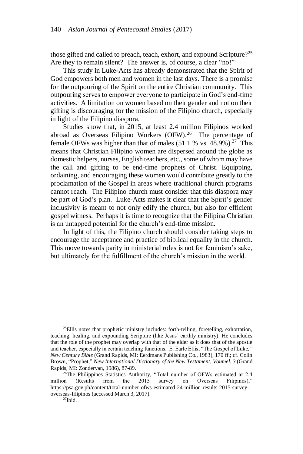those gifted and called to preach, teach, exhort, and expound Scripture?<sup>25</sup> Are they to remain silent? The answer is, of course, a clear "no!"

This study in Luke-Acts has already demonstrated that the Spirit of God empowers both men and women in the last days. There is a promise for the outpouring of the Spirit on the entire Christian community. This outpouring serves to empower everyone to participate in God's end-time activities. A limitation on women based on their gender and not on their gifting is discouraging for the mission of the Filipino church, especially in light of the Filipino diaspora.

Studies show that, in 2015, at least 2.4 million Filipinos worked abroad as Overseas Filipino Workers  $(OFW)<sup>26</sup>$  The percentage of female OFWs was higher than that of males  $(51.1 %$  vs.  $48.9%$ ).<sup>27</sup> This means that Christian Filipino women are dispersed around the globe as domestic helpers, nurses, English teachers, etc., some of whom may have the call and gifting to be end-time prophets of Christ. Equipping, ordaining, and encouraging these women would contribute greatly to the proclamation of the Gospel in areas where traditional church programs cannot reach. The Filipino church must consider that this diaspora may be part of God's plan. Luke-Acts makes it clear that the Spirit's gender inclusivity is meant to not only edify the church, but also for efficient gospel witness. Perhaps it is time to recognize that the Filipina Christian is an untapped potential for the church's end-time mission.

In light of this, the Filipino church should consider taking steps to encourage the acceptance and practice of biblical equality in the church. This move towards parity in ministerial roles is not for feminism's sake, but ultimately for the fulfillment of the church's mission in the world.

 $^{25}$ Ellis notes that prophetic ministry includes: forth-telling, foretelling, exhortation, teaching, healing, and expounding Scripture (like Jesus' earthly ministry). He concludes that the role of the prophet may overlap with that of the elder as it does that of the apostle and teacher, especially in certain teaching functions. E. Earle Ellis, "The Gospel of Luke*," New Century Bible* (Grand Rapids, MI: Eerdmans Publishing Co., 1983), 170 ff.; cf. Colin Brown, "Prophet," *New International Dictionary of the New Testament, Voumel. 3* (Grand Rapids, MI: Zondervan, 1986), 87-89.

<sup>&</sup>lt;sup>26</sup>The Philippines Statistics Authority, "Total number of OFWs estimated at 2.4 million (Results from the 2015 survey on Overseas Filipinos)," https://psa.gov.ph/content/total-number-ofws-estimated-24-million-results-2015-surveyoverseas-filipinos (accessed March 3, 2017).

 $^{27}$ Ibid.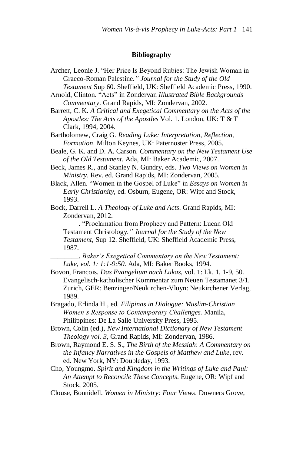#### **Bibliography**

- Archer, Leonie J. "Her Price Is Beyond Rubies: The Jewish Woman in Graeco-Roman Palestine*." Journal for the Study of the Old Testament* Sup 60. Sheffield, UK: Sheffield Academic Press, 1990.
- Arnold, Clinton. "Acts" in Zondervan *Illustrated Bible Backgrounds Commentary*. Grand Rapids, MI: Zondervan, 2002.
- Barrett, C. K. *A Critical and Exegetical Commentary on the Acts of the Apostles: The Acts of the Apostles* Vol. 1. London, UK: T & T Clark, 1994, 2004.
- Bartholomew, Craig G. *Reading Luke: Interpretation, Reflection, Formation*. Milton Keynes, UK: Paternoster Press, 2005.
- Beale, G. K. and D. A. Carson. *Commentary on the New Testament Use of the Old Testament.* Ada, MI: Baker Academic, 2007.
- Beck, James R., and Stanley N. Gundry, eds. *Two Views on Women in Ministry*. Rev. ed. Grand Rapids, MI: Zondervan, 2005.
- Black, Allen. "Women in the Gospel of Luke" in *Essays on Women in Early Christianity,* ed. Osburn, Eugene, OR: Wipf and Stock, 1993.
- Bock, Darrell L. *A Theology of Luke and Acts*. Grand Rapids, MI: Zondervan, 2012.
	- \_\_\_\_\_\_\_\_. "Proclamation from Prophecy and Pattern: Lucan Old Testament Christology*." Journal for the Study of the New Testament*, Sup 12. Sheffield, UK: Sheffield Academic Press, 1987.
		- \_\_\_\_\_\_\_\_. *Baker's Exegetical Commentary on the New Testament: Luke, vol. 1: 1:1-9:50.* Ada, MI: Baker Books, 1994.
- Bovon, Francois. *Das Evangelium nach Lukas,* vol. 1: Lk. 1, 1-9, 50. Evangelisch-katholischer Kommentar zum Neuen Testamanet 3/1. Zurich, GER: Benzinger/Neukirchen-Vluyn: Neukirchener Verlag, 1989.
- Bragado, Erlinda H., ed. *Filipinas in Dialogue: Muslim-Christian Women's Response to Contemporary Challenges.* Manila, Philippines: De La Salle University Press, 1995.
- Brown, Colin (ed.), *New International Dictionary of New Testament Theology vol. 3,* Grand Rapids, MI: Zondervan, 1986.
- Brown, Raymond E. S. S., *The Birth of the Messiah*: *A Commentary on the Infancy Narratives in the Gospels of Matthew and Luke*, rev. ed. New York, NY: Doubleday, 1993.
- Cho, Youngmo. *Spirit and Kingdom in the Writings of Luke and Paul: An Attempt to Reconcile These Concepts*. Eugene, OR: Wipf and Stock, 2005.
- Clouse, Bonnidell. *Women in Ministry: Four Views*. Downers Grove,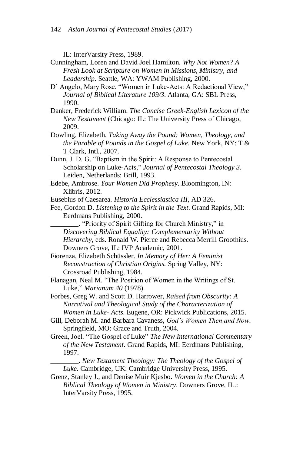IL: InterVarsity Press, 1989.

- Cunningham, Loren and David Joel Hamilton. *Why Not Women? A Fresh Look at Scripture on Women in Missions, Ministry, and Leadership*. Seattle, WA: YWAM Publishing, 2000.
- D' Angelo, Mary Rose. "Women in Luke-Acts: A Redactional View," *Journal of Biblical Literature 109/3*. Atlanta, GA: SBL Press, 1990.
- Danker, Frederick William. *The Concise Greek-English Lexicon of the New Testament* (Chicago: IL: The University Press of Chicago, 2009.
- Dowling, Elizabeth. *Taking Away the Pound: Women, Theology*, *and the Parable of Pounds in the Gospel of Luke*. New York, NY: T & T Clark, Intl., 2007.
- Dunn, J. D. G. "Baptism in the Spirit: A Response to Pentecostal Scholarship on Luke-Acts," *Journal of Pentecostal Theology 3*. Leiden, Netherlands: Brill, 1993.
- Edebe, Ambrose. *Your Women Did Prophesy*. Bloomington, IN: Xlibris, 2012.
- Eusebius of Caesarea. *Historia Ecclessiastica III,* AD 326.
- Fee, Gordon D. *Listening to the Spirit in the Text*. Grand Rapids, MI: Eerdmans Publishing, 2000.
	- \_\_\_\_\_\_\_\_. "Priority of Spirit Gifting for Church Ministry," in *Discovering Biblical Equality: Complementarity Without Hierarchy*, eds. Ronald W. Pierce and Rebecca Merrill Groothius. Downers Grove, IL: IVP Academic, 2001.
- Fiorenza, Elizabeth Schüssler. *In Memory of Her: A Feminist Reconstruction of Christian Origins.* Spring Valley, NY: Crossroad Publishing, 1984.
- Flanagan, Neal M. "The Position of Women in the Writings of St. Luke," *Marianum 40* (1978).
- Forbes, Greg W. and Scott D. Harrower, *Raised from Obscurity: A Narratival and Theological Study of the Characterization of Women in Luke- Acts*. Eugene, OR: Pickwick Publications, 2015.
- Gill, Deborah M. and Barbara Cavaness, *God's Women Then and Now*. Springfield, MO: Grace and Truth, 2004.
- Green, Joel. "The Gospel of Luke" *The New International Commentary of the New Testament*. Grand Rapids, MI: Eerdmans Publishing, 1997.
	- \_\_\_\_\_\_\_\_. *New Testament Theology: The Theology of the Gospel of Luke*. Cambridge, UK: Cambridge University Press, 1995.
- Grenz, Stanley J., and Denise Muir Kjesbo. *Women in the Church: A Biblical Theology of Women in Ministry*. Downers Grove, IL.: InterVarsity Press, 1995.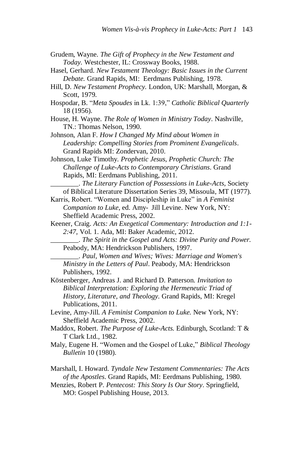- Grudem, Wayne. *The Gift of Prophecy in the New Testament and Today.* Westchester, IL: Crossway Books, 1988.
- Hasel, Gerhard. *New Testament Theology: Basic Issues in the Current Debate.* Grand Rapids, MI: Eerdmans Publishing, 1978.
- Hill, D. *New Testament Prophecy.* London, UK: Marshall, Morgan, & Scott, 1979.
- Hospodar, B. "*Meta Spoudes* in Lk. 1:39," *Catholic Biblical Quarterly*  18 (1956).
- House, H. Wayne. *The Role of Women in Ministry Today*. Nashville, TN.: Thomas Nelson, 1990.
- Johnson, Alan F. *How I Changed My Mind about Women in Leadership: Compelling Stories from Prominent Evangelicals*. Grand Rapids MI: Zondervan, 2010.
- Johnson, Luke Timothy. *Prophetic Jesus, Prophetic Church: The Challenge of Luke-Acts to Contemporary Christians*. Grand Rapids, MI: Eerdmans Publishing, 2011.
	- \_\_\_\_\_\_\_\_. *The Literary Function of Possessions in Luke-Acts,* Society of Biblical Literature Dissertation Series 39, Missoula, MT (1977).
- Karris, Robert. "Women and Discipleship in Luke" in *A Feminist Companion to Luke*, ed. Amy- Jill Levine. New York, NY: Sheffield Academic Press, 2002.
- Keener, Craig. *Acts: An Exegetical Commentary: Introduction and 1:1- 2:47,* Vol. 1. Ada, MI: Baker Academic, 2012.
	- \_\_\_\_\_\_\_\_. *The Spirit in the Gospel and Acts: Divine Purity and Power.* Peabody, MA: Hendrickson Publishers, 1997.
	- \_\_\_\_\_\_\_\_. *Paul, Women and Wives; Wives: Marriage and Women's Ministry in the Letters of Paul*. Peabody, MA: Hendrickson Publishers, 1992.
- Köstenberger, Andreas J. and Richard D. Patterson. *Invitation to Biblical Interpretation: Exploring the Hermeneutic Triad of History, Literature, and Theology.* Grand Rapids, MI: Kregel Publications, 2011.
- Levine, Amy-Jill. *A Feminist Companion to Luke.* New York, NY: Sheffield Academic Press, 2002.
- Maddox, Robert. *The Purpose of Luke-Acts.* Edinburgh, Scotland: T & T Clark Ltd., 1982.
- Maly, Eugene H. "Women and the Gospel of Luke," *Biblical Theology Bulletin* 10 (1980).
- Marshall, I. Howard. *Tyndale New Testament Commentaries: The Acts of the Apostles*. Grand Rapids, MI: Eerdmans Publishing, 1980.
- Menzies, Robert P. *Pentecost: This Story Is Our Story*. Springfield, MO: Gospel Publishing House, 2013.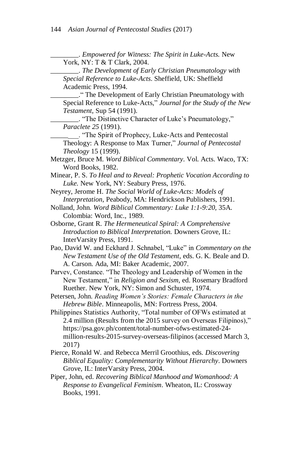\_\_\_\_\_\_\_\_. *Empowered for Witness: The Spirit in Luke-Acts.* New York, NY: T & T Clark, 2004. \_\_\_\_\_\_\_\_. *The Development of Early Christian Pneumatology with Special Reference to Luke-Acts*. Sheffield, UK: Sheffield Academic Press, 1994. \_\_\_\_\_\_\_\_." The Development of Early Christian Pneumatology with Special Reference to Luke-Acts*,*" *Journal for the Study of the New Testament*, Sup 54 (1991). \_\_\_\_\_\_\_\_. "The Distinctive Character of Luke's Pneumatology," *Paraclete 25* (1991). \_\_\_\_\_\_\_\_. "The Spirit of Prophecy, Luke-Acts and Pentecostal Theology: A Response to Max Turner," *Journal of Pentecostal Theology* 15 (1999). Metzger, Bruce M. *Word Biblical Commentary*. Vol. Acts. Waco, TX: Word Books, 1982. Minear, P. S. *To Heal and to Reveal: Prophetic Vocation According to Luke.* New York, NY: Seabury Press, 1976. Neyrey, Jerome H. *The Social World of Luke-Acts: Models of Interpretation*, Peabody, MA: Hendrickson Publishers, 1991. Nolland, John. *Word Biblical Commentary: Luke 1:1-9:20,* 35A. Colombia: Word, Inc., 1989. Osborne, Grant R. *The Hermeneutical Spiral: A Comprehensive Introduction to Biblical Interpretation.* Downers Grove, IL: InterVarsity Press, 1991. Pao, David W. and Eckhard J. Schnabel, "Luke" in *Commentary on the New Testament Use of the Old Testament*, eds. G. K. Beale and D. A. Carson. Ada, MI: Baker Academic, 2007. Parvev, Constance. "The Theology and Leadership of Women in the New Testament," in *Religion and Sexism*, ed. Rosemary Bradford Ruether. New York, NY: Simon and Schuster, 1974. Petersen, John. *Reading Women's Stories: Female Characters in the Hebrew Bible*. Minneapolis, MN: Fortress Press, 2004. Philippines Statistics Authority, "Total number of OFWs estimated at 2.4 million (Results from the 2015 survey on Overseas Filipinos)," https://psa.gov.ph/content/total-number-ofws-estimated-24 million-results-2015-survey-overseas-filipinos (accessed March 3, 2017) Pierce, Ronald W. and Rebecca Merril Groothius, eds. *Discovering Biblical Equality: Complementarity Without Hierarchy*. Downers Grove, IL: InterVarsity Press, 2004. Piper, John, ed. *Recovering Biblical Manhood and Womanhood: A Response to Evangelical Feminism*. Wheaton, IL: Crossway Books, 1991.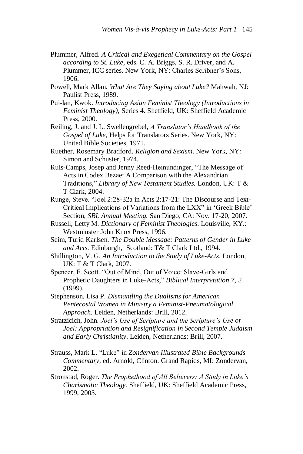- Plummer, Alfred. *A Critical and Exegetical Commentary on the Gospel according to St. Luke*, eds. C. A. Briggs, S. R. Driver, and A. Plummer, ICC series. New York, NY: Charles Scribner's Sons, 1906.
- Powell, Mark Allan. *What Are They Saying about Luke?* Mahwah, NJ: Paulist Press, 1989.
- Pui-lan, Kwok. *Introducing Asian Feminist Theology (Introductions in Feminist Theology),* Series 4. Sheffield, UK: Sheffield Academic Press, 2000.
- Reiling, J. and J. L. Swellengrebel, *A Translator's Handbook of the Gospel of Luke*, Helps for Translators Series. New York, NY: United Bible Societies, 1971.
- Ruether, Rosemary Bradford. *Religion and Sexism*. New York, NY: Simon and Schuster, 1974.
- Ruis-Camps, Josep and Jenny Reed-Heinundinger, "The Message of Acts in Codex Bezae: A Comparison with the Alexandrian Traditions," *Library of New Testament Studies.* London, UK: T & T Clark, 2004.
- Runge, Steve. "Joel 2:28-32a in Acts 2:17-21: The Discourse and Text-Critical Implications of Variations from the LXX" in 'Greek Bible' Section, *SBL Annual Meeting.* San Diego, CA: Nov. 17-20, 2007.
- Russell, Letty M. *Dictionary of Feminist Theologies*. Louisville, KY.: Westminster John Knox Press, 1996.
- Seim, Turid Karlsen. *The Double Message: Patterns of Gender in Luke and Acts.* Edinburgh, Scotland: T& T Clark Ltd., 1994.
- Shillington, V. G. *An Introduction to the Study of Luke-Acts*. London, UK: T & T Clark, 2007.
- Spencer, F. Scott. "Out of Mind, Out of Voice: Slave-Girls and Prophetic Daughters in Luke-Acts," *Biblical Interpretation 7, 2* (1999).
- Stephenson, Lisa P. *Dismantling the Dualisms for American Pentecostal Women in Ministry a Feminist-Pneumatological Approach*. Leiden, Netherlands: Brill, 2012.
- Stratzicich, John. *Joel's Use of Scripture and the Scripture's Use of Joel: Appropriation and Resignification in Second Temple Judaism and Early Christianity*. Leiden, Netherlands: Brill, 2007.
- Strauss, Mark L. "Luke" in *Zondervan Illustrated Bible Backgrounds Commentary*, ed. Arnold, Clinton. Grand Rapids, MI: Zondervan, 2002.
- Stronstad, Roger. *The Prophethood of All Believers: A Study in Luke's Charismatic Theology.* Sheffield, UK: Sheffield Academic Press, 1999, 2003.